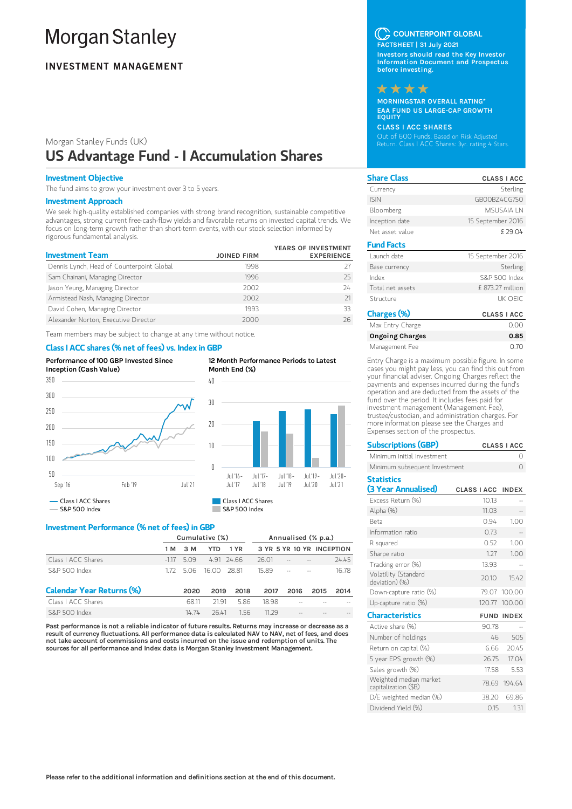# **Morgan Stanley**

## **INVESTMENT MANAGEMENT**

# Morgan Stanley Funds (UK) US Advantage Fund - I Accumulation Shares

## Investment Objective

The fund aims to grow your investment over 3 to 5 years.

## Investment Approach

We seek high-quality established companies with strong brand recognition, sustainable competitive advantages, strong current free-cash-flow yields and favorable returns on invested capital trends. We focus on long-term growth rather than short-term events, with our stock selection informed by rigorous fundamental analysis.

| <b>Investment Team</b>                    | <b>JOINED FIRM</b> | YEARS OF INVESTMENT<br><b>EXPERIENCE</b> |
|-------------------------------------------|--------------------|------------------------------------------|
| Dennis Lynch, Head of Counterpoint Global | 1998               |                                          |
| Sam Chainani, Managing Director           | 1996               | 25                                       |
| Jason Yeung, Managing Director            | 2002               | 24                                       |
| Armistead Nash, Managing Director         | 2002               |                                          |
| David Cohen, Managing Director            | 1993               | 33                                       |
| Alexander Norton, Executive Director      | 2000               | 26                                       |

Team members may be subject to change at any time without notice.

## Class I ACC shares (% net of fees) vs. Index in GBP



12 Month Performance Periods to Latest Month End (%)



## Investment Performance (% net of fees) in GBP

|                                  | Cumulative (%) |      |                  |          | Annualised (% p.a.)       |        |      |       |
|----------------------------------|----------------|------|------------------|----------|---------------------------|--------|------|-------|
|                                  | 1 M            | 3 M  | YTD              | 1 YR     | 3 YR 5 YR 10 YR INCEPTION |        |      |       |
| Class LACC Shares                | -117           | 509  |                  | 491 2466 | 26.01                     |        |      | 24.45 |
| S&P 500 Index                    | 172            |      | 5.06 16.00 28.81 |          | 15.89                     | $\sim$ |      | 16.78 |
| <b>Calendar Year Returns (%)</b> |                | 2020 | 2019             | 2018     | 2017                      | 2016   | 2015 | 2014  |
| Class LACC Shares                |                | 6811 | 2191             | 5.86     | 1898                      |        |      |       |
| S&P 500 Index                    |                | 1474 | 2641             | 156      | 11 29                     |        |      |       |

Past performance is not a reliable indicator of future results. Returns may increase or decrease as a result of currency fluctuations. All performance data is calculated NAV to NAV, net of fees, and does not take account of commissions and costs incurred on the issue and redemption of units. The sources for all performance and Index data is Morgan Stanley Investment Management.

## C COUNTERPOINT GLOBAL

FACTSHEET | 31 July 2021 Investors should read the Key Investor Information Document and Prospectus before investing.



MORNINGSTAR OVERALL RATING\* EAA FUND US LARGE-CAP GROWTH **EQUITY** 

CLASS I ACC SHARES Out of 600 Funds. Based on Risk Adjusted Return. Class I ACC Shares: 3yr. rating 4 Stars.

| <b>Share Class</b> | <b>CLASS I ACC</b> |
|--------------------|--------------------|
| Currency           | Sterling           |
| <b>ISIN</b>        | GBOOBZ4CG750       |
| Bloomberg          | <b>MSLISAIA IN</b> |
| Inception date     | 15 September 2016  |
| Net asset value    | £ 29.04            |
| <b>Fund Facts</b>  |                    |
| Launch date        | 15 September 2016  |
|                    |                    |
| Base currency      | Sterling           |
| Index              | S&P 500 Index      |
| Total net assets   | £ 873.27 million   |
| Structure          | <b>UK OFIC</b>     |
| Charges (%)        | <b>CLASS I ACC</b> |

| <b>Ongoing Charges</b>                                                                                     | 0.85 |
|------------------------------------------------------------------------------------------------------------|------|
| Management Fee                                                                                             | 0.70 |
| Entry Charge is a maximum possible figure. In some<br>cases you might pay less, you can find this out from |      |

your financial adviser. Ongoing Charges reflect the payments and expenses incurred during the fund's operation and are deducted from the assets of the fund over the period. It includes fees paid for investment management (Management Fee), trustee/custodian, and administration charges. For more information please see the Charges and Expenses section of the prospectus.

| <b>Subscriptions (GBP)</b>                     | <b>CLASS I ACC</b> |              |
|------------------------------------------------|--------------------|--------------|
| Minimum initial investment                     |                    | Ω            |
| Minimum subsequent Investment                  |                    | $\Omega$     |
| <b>Statistics</b>                              |                    |              |
| (3 Year Annualised)                            | <b>CLASS I ACC</b> | <b>INDEX</b> |
| Excess Return (%)                              | 10.13              |              |
| Alpha (%)                                      | 11.03              |              |
| <b>Beta</b>                                    | 0.94               | 1.00         |
| Information ratio                              | 0.73               |              |
| R squared                                      | 0.52               | 1.00         |
| Sharpe ratio                                   | 1.27               | 1.00         |
| Tracking error (%)                             | 13.93              |              |
| Volatility (Standard<br>deviation) (%)         | 20.10              | 15.42        |
| Down-capture ratio (%)                         | 79.07              | 100.00       |
| Up-capture ratio (%)                           | 120.77             | 100.00       |
| <b>Characteristics</b>                         | <b>FUND</b>        | <b>INDEX</b> |
| Active share (%)                               | 90.78              |              |
| Number of holdings                             | 46                 | 505          |
| Return on capital (%)                          | 6.66               | 20.45        |
| 5 year EPS growth (%)                          | 26.75              | 17.04        |
| Sales growth (%)                               | 17.58              | 5.53         |
| Weighted median market<br>capitalization (\$B) |                    | 78.69 194.64 |
| D/E weighted median (%)                        | 38.20              | 69.86        |
| Dividend Yield (%)                             | 0.15               | 1.31         |
|                                                |                    |              |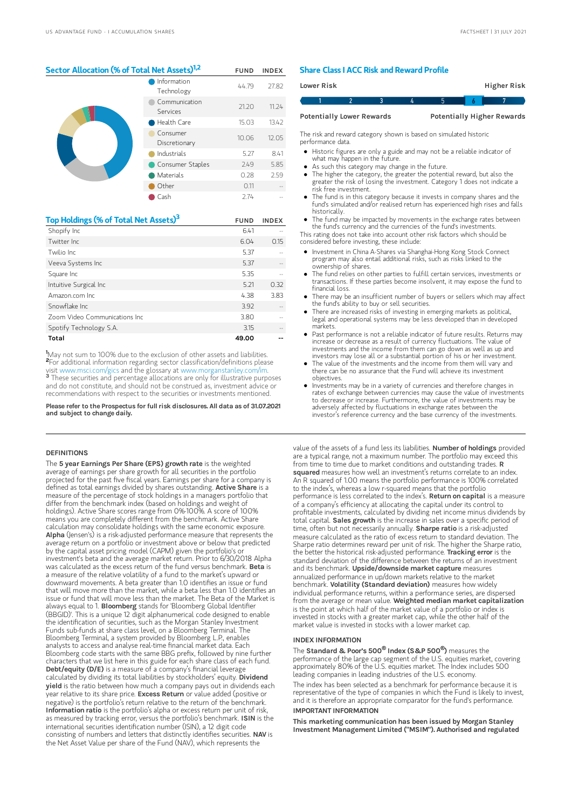## Sector Allocation (% of Total Net Assets)<sup>1,2</sup> FUND INDEX

|  | Information<br>Technology | 44.79 | 27.82 |
|--|---------------------------|-------|-------|
|  | Communication<br>Services | 21.20 | 11.24 |
|  | Health Care               | 15.03 | 13.42 |
|  | Consumer<br>Discretionary | 10.06 | 12.05 |
|  | Industrials               | 5.27  | 8.41  |
|  | Consumer Staples          | 2.49  | 5.85  |
|  | Materials                 | 0.28  | 2.59  |
|  | Other                     | 0.11  |       |
|  | Cash                      | 2.74  |       |

| Top Holdings (% of Total Net Assets) <sup>3</sup> | <b>FUND</b> | <b>INDEX</b> |
|---------------------------------------------------|-------------|--------------|
| Shopify Inc                                       | 6.41        |              |
| Twitter Inc.                                      | 6.04        | 0.15         |
| Twilio Inc.                                       | 5.37        |              |
| Veeva Systems Inc                                 | 5.37        |              |
| Square Inc                                        | 5.35        |              |
| Intuitive Surgical Inc                            | 5.21        | 0.32         |
| Amazon.com Inc.                                   | 4.38        | 3.83         |
| Snowflake Inc                                     | 3.92        |              |
| Zoom Video Communications Inc.                    | 3.80        |              |
| Spotify Technology S.A.                           | 3.15        |              |
| Total                                             | 49.00       |              |

May not sum to 100% due to the exclusion of other assets and liabilities. 1 For additional information regarding sector classification/definitions please visit www.msci.com/gics and the glossary at www.morganstanley.com/im. These securities and percentage allocations are only for illustrative purposes and do not constitute, and should not be construed as, investment advice or recommendations with respect to the securities or investments mentioned. 2⊑ 3

Please refer to the Prospectus for full risk disclosures. All data as of 31.07.2021 and subject to change daily.

### **DEFINITIONS**

The 5 year Earnings Per Share (EPS) growth rate is the weighted average of earnings per share growth for all securities in the portfolio projected for the past five fiscal years. Earnings per share for a company is defined as total earnings divided by shares outstanding. Active Share is a measure of the percentage of stock holdings in a managers portfolio that differ from the benchmark index (based on holdings and weight of holdings). Active Share scores range from 0%-100%. A score of 100% means you are completely different from the benchmark. Active Share calculation may consolidate holdings with the same economic exposure. Alpha (Jensen's) is a risk-adjusted performance measure that represents the average return on a portfolio or investment above or below that predicted by the capital asset pricing model (CAPM) given the portfolio's or investment's beta and the average market return. Prior to 6/30/2018 Alpha was calculated as the excess return of the fund versus benchmark. Beta is a measure of the relative volatility of a fund to the market's upward or downward movements. A beta greater than 1.0 identifies an issue or fund that will move more than the market, while a beta less than 1.0 identifies an issue or fund that will move less than the market. The Beta of the Market is always equal to 1. **Bloomberg** stands for 'Bloomberg Global Identifier (BBGID)'. This is a unique 12 digit alphanumerical code designed to enable the identification of securities, such as the Morgan Stanley Investment Funds sub-funds at share class level, on a Bloomberg Terminal. The Bloomberg Terminal, a system provided by Bloomberg L.P., enables analysts to access and analyse real-time financial market data. Each Bloomberg code starts with the same BBG prefix, followed by nine further characters that we list here in this guide for each share class of each fund.<br>**Debt/equity (D/E)** is a measure of a company's financial leverage calculated by dividing its total liabilities by stockholders' equity. Dividend yield is the ratio between how much a company pays out in dividends each year relative to its share price. Excess Return or value added (positive or negative) is the portfolio's return relative to the return of the benchmark.<br>**Information ratio** is the portfolio's alpha or excess return per unit of risk, as measured by tracking error, versus the portfolio's benchmark. ISIN is the international securities identification number (ISIN), a 12 digit code consisting of numbers and letters that distinctly identifies securities. NAV is the Net Asset Value per share of the Fund (NAV), which represents the

## Share Class I ACC Risk and Reward Profile

|                                  | Lower Risk |  |  |                                   | Higher Risk |  |
|----------------------------------|------------|--|--|-----------------------------------|-------------|--|
|                                  |            |  |  | h                                 |             |  |
| <b>Potentially Lower Rewards</b> |            |  |  | <b>Potentially Higher Rewards</b> |             |  |

The risk and reward category shown is based on simulated historic performance data.

- Historic figures are only a guide and may not be a reliable indicator of what may happen in the future.
- As such this category may change in the future
- The higher the category, the greater the potential reward, but also the  $\bullet$ greater the risk of losing the investment. Category 1 does not indicate a risk free investment.
- The fund is in this category because it invests in company shares and the fund's simulated and/or realised return has experienced high rises and falls historically.
- The fund may be impacted by movements in the exchange rates between the fund's currency and the currencies of the fund's investments.

This rating does not take into account other risk factors which should be considered before investing, these include:

- Investment in China A-Shares via Shanghai-Hong Kong Stock Connect program may also entail additional risks, such as risks linked to the ownership of shares.
- The fund relies on other parties to fulfill certain services, investments or transactions. If these parties become insolvent, it may expose the fund to financial loss.
- There may be an insufficient number of buyers or sellers which may affect the fund's ability to buy or sell securities.
- There are increased risks of investing in emerging markets as political, legal and operational systems may be less developed than in developed markets.
- Past performance is not a reliable indicator of future results. Returns may increase or decrease as a result of currency fluctuations. The value of investments and the income from them can go down as well as up and investors may lose all or a substantial portion of his or her investment.
- The value of the investments and the income from them will vary and there can be no assurance that the Fund will achieve its investment objectives.
- Investments may be in a variety of currencies and therefore changes in rates of exchange between currencies may cause the value of investments to decrease or increase. Furthermore, the value of investments may be adversely affected by fluctuations in exchange rates between the investor's reference currency and the base currency of the investments.

value of the assets of a fund less its liabilities. Number of holdings provided are a typical range, not a maximum number. The portfolio may exceed this from time to time due to market conditions and outstanding trades. R squared measures how well an investment's returns correlate to an index. An R squared of 1.00 means the portfolio performance is 100% correlated to the index's, whereas a low r-squared means that the portfolio performance is less correlated to the index's. Return on capital is a measure of a company's efficiency at allocating the capital under its control to profitable investments, calculated by dividing net income minus dividends by total capital. Sales growth is the increase in sales over a specific period of time, often but not necessarily annually. Sharpe ratio is a risk-adjusted measure calculated as the ratio of excess return to standard deviation. The Sharpe ratio determines reward per unit of risk. The higher the Sharpe ratio, the better the historical risk-adjusted performance. Tracking error is the standard deviation of the difference between the returns of an investment and its benchmark. Upside/downside market capture measures annualized performance in up/down markets relative to the market benchmark. Volatility (Standard deviation) measures how widely individual performance returns, within a performance series, are dispersed from the average or mean value. Weighted median market capitalization is the point at which half of the market value of a portfolio or index is invested in stocks with a greater market cap, while the other half of the market value is invested in stocks with a lower market cap.

## INDEX INFORMATION

 $\bar{\text{The Standard}}$  & Poor's 500 $^{\circledR}$  Index (S&P 500 $^{\circledR}$ ) measures the performance of the large cap segment of the U.S. equities market, covering approximately 80% of the U.S. equities market. The Index includes 500 leading companies in leading industries of the U.S. economy. The index has been selected as a benchmark for performance because it is representative of the type of companies in which the Fund is likely to invest, and it is therefore an appropriate comparator for the fund's performance. IMPORTANT INFORMATION

### This marketing communication has been issued by Morgan Stanley Investment Management Limited ("MSIM"). Authorised and regulated